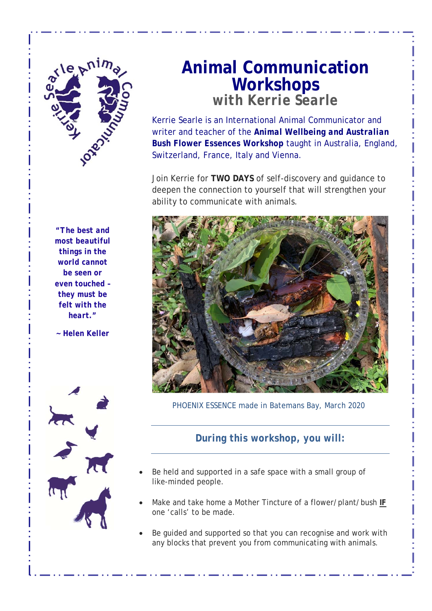

 *most beautiful "The best and things in the world cannot be seen or even touched – they must be felt with the heart."* 

*~ Helen Keller* 



## **Animal Communication Workshops**

*with Kerrie Searle*

Kerrie Searle is an International Animal Communicator and writer and teacher of the *Animal Wellbeing and Australian Bush Flower Essences Workshop* taught in Australia, England, Switzerland, France, Italy and Vienna.

Join Kerrie for **TWO DAYS** of self-discovery and guidance to deepen the connection to yourself that will strengthen your ability to communicate with animals.



PHOENIX ESSENCE made in Batemans Bay, March 2020

## *During this workshop, you will:*

- Be held and supported in a safe space with a small group of like-minded people.
- Make and take home a Mother Tincture of a flower/plant/bush *IF* one 'calls' to be made.
- Be guided and supported so that you can recognise and work with any blocks that prevent you from communicating with animals.